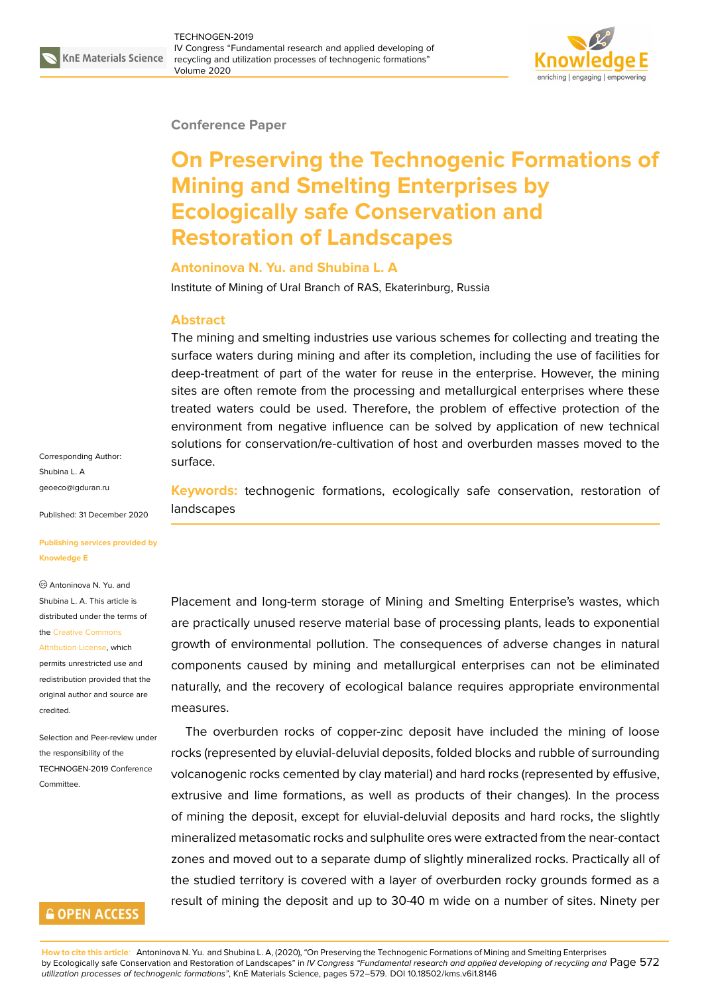

#### **Conference Paper**

# **On Preserving the Technogenic Formations of Mining and Smelting Enterprises by Ecologically safe Conservation and Restoration of Landscapes**

## **Antoninova N. Yu. and Shubina L. A**

Institute of Mining of Ural Branch of RAS, Ekaterinburg, Russia

### **Abstract**

The mining and smelting industries use various schemes for collecting and treating the surface waters during mining and after its completion, including the use of facilities for deep-treatment of part of the water for reuse in the enterprise. However, the mining sites are often remote from the processing and metallurgical enterprises where these treated waters could be used. Therefore, the problem of effective protection of the environment from negative influence can be solved by application of new technical solutions for conservation/re-cultivation of host and overburden masses moved to the surface.

**Keywords:** technogenic formations, ecologically safe conservation, restoration of landscapes

Placement and long-term storage of Mining and Smelting Enterprise's wastes, which are practically unused reserve material base of processing plants, leads to exponential growth of environmental pollution. The consequences of adverse changes in natural components caused by mining and metallurgical enterprises can not be eliminated naturally, and the recovery of ecological balance requires appropriate environmental measures.

The overburden rocks of copper-zinc deposit have included the mining of loose rocks (represented by eluvial-deluvial deposits, folded blocks and rubble of surrounding volcanogenic rocks cemented by clay material) and hard rocks (represented by effusive, extrusive and lime formations, as well as products of their changes). In the process of mining the deposit, except for eluvial-deluvial deposits and hard rocks, the slightly mineralized metasomatic rocks and sulphulite ores were extracted from the near-contact zones and moved out to a separate dump of slightly mineralized rocks. Practically all of the studied territory is covered with a layer of overburden rocky grounds formed as a result of mining the deposit and up to 30-40 m wide on a number of sites. Ninety per

Corresponding Author: Shubina L. A geoeco@igduran.ru

Published: 31 December 2020

#### **[Publishing services](mailto:geoeco@igduran.ru) provided by Knowledge E**

Antoninova N. Yu. and Shubina L. A. This article is distributed under the terms of the Creative Commons

Attribution License, which permits unrestricted use and redistribution provided that the orig[inal author and sou](https://creativecommons.org/licenses/by/4.0/)rce are [credited.](https://creativecommons.org/licenses/by/4.0/)

Selection and Peer-review under the responsibility of the TECHNOGEN-2019 Conference **Committee** 

# **GOPEN ACCESS**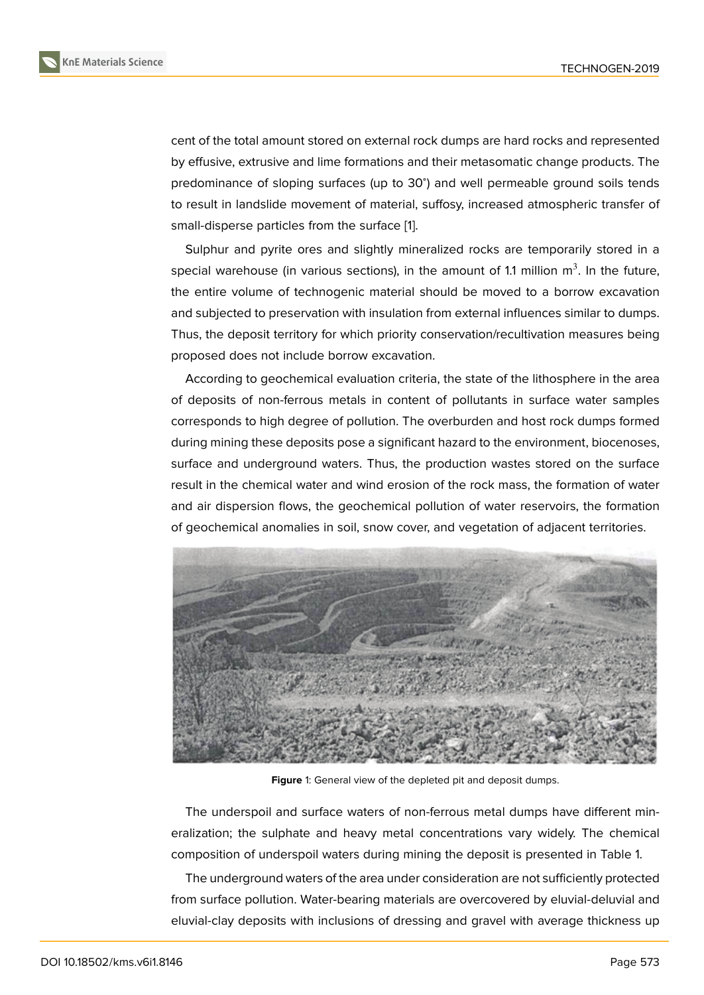cent of the total amount stored on external rock dumps are hard rocks and represented by effusive, extrusive and lime formations and their metasomatic change products. The predominance of sloping surfaces (up to 30°) and well permeable ground soils tends to result in landslide movement of material, suffosy, increased atmospheric transfer of small-disperse particles from the surface [1].

Sulphur and pyrite ores and slightly mineralized rocks are temporarily stored in a special warehouse (in various sections), in the amount of 1.1 million  $m^3$ . In the future, the entire volume of technogenic materi[al](#page-6-0) should be moved to a borrow excavation and subjected to preservation with insulation from external influences similar to dumps. Thus, the deposit territory for which priority conservation/recultivation measures being proposed does not include borrow excavation.

According to geochemical evaluation criteria, the state of the lithosphere in the area of deposits of non-ferrous metals in content of pollutants in surface water samples corresponds to high degree of pollution. The overburden and host rock dumps formed during mining these deposits pose a significant hazard to the environment, biocenoses, surface and underground waters. Thus, the production wastes stored on the surface result in the chemical water and wind erosion of the rock mass, the formation of water and air dispersion flows, the geochemical pollution of water reservoirs, the formation of geochemical anomalies in soil, snow cover, and vegetation of adjacent territories.



**Figure** 1: General view of the depleted pit and deposit dumps.

The underspoil and surface waters of non-ferrous metal dumps have different mineralization; the sulphate and heavy metal concentrations vary widely. The chemical composition of underspoil waters during mining the deposit is presented in Table 1.

The underground waters of the area under consideration are not sufficiently protected from surface pollution. Water-bearing materials are overcovered by eluvial-deluvial and eluvial-clay deposits with inclusions of dressing and gravel with average thickness up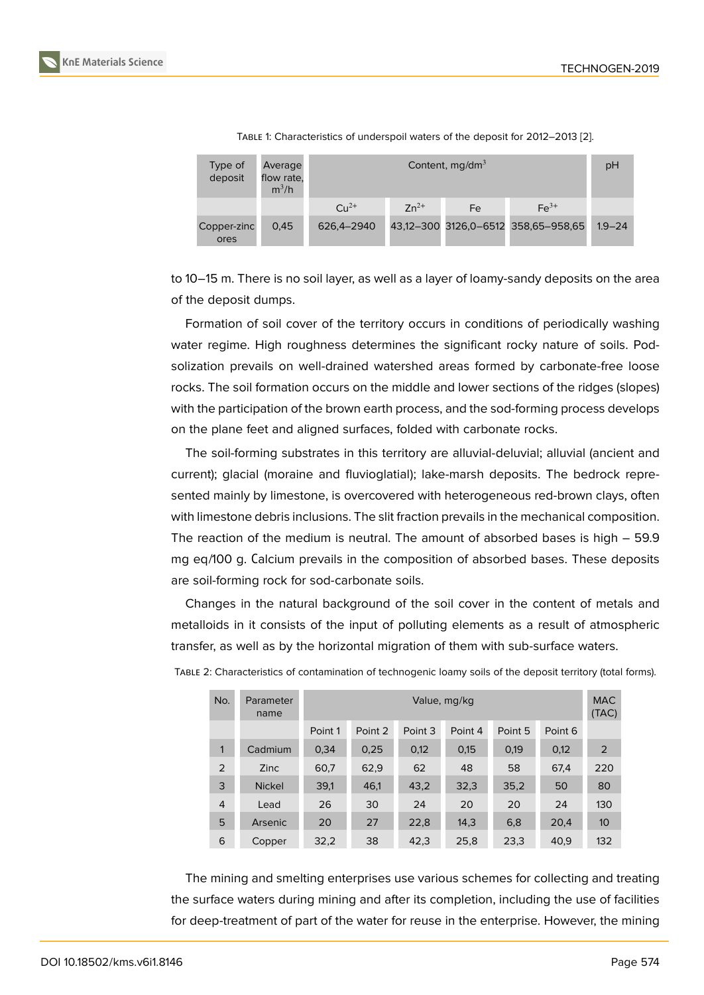| Type of<br>deposit  | Average<br>flow rate,<br>$m^3/h$ | Content, $mg/dm3$ |           |    |                                     |            |  |
|---------------------|----------------------------------|-------------------|-----------|----|-------------------------------------|------------|--|
|                     |                                  | $C_{11}^{2+}$     | $7n^{2+}$ | Fe | $Fe3+$                              |            |  |
| Copper-zinc<br>ores | 0.45                             | 626.4-2940        |           |    | 43,12-300 3126,0-6512 358,65-958,65 | $1.9 - 24$ |  |

TABLE 1: Characteristics of underspoil waters of the deposit for 2012–2013 [2].

to 10–15 m. There is no soil layer, as well as a layer of loamy-sandy deposits on the area of the deposit dumps.

Formation of soil cover of the territory occurs in conditions of periodically washing water regime. High roughness determines the significant rocky nature of soils. Podsolization prevails on well-drained watershed areas formed by carbonate-free loose rocks. The soil formation occurs on the middle and lower sections of the ridges (slopes) with the participation of the brown earth process, and the sod-forming process develops on the plane feet and aligned surfaces, folded with carbonate rocks.

The soil-forming substrates in this territory are alluvial-deluvial; alluvial (ancient and current); glacial (moraine and fluvioglatial); lake-marsh deposits. The bedrock represented mainly by limestone, is overcovered with heterogeneous red-brown clays, often with limestone debris inclusions. The slit fraction prevails in the mechanical composition. The reaction of the medium is neutral. The amount of absorbed bases is high – 59.9 mg eq/100 g. Сalcium prevails in the composition of absorbed bases. These deposits are soil-forming rock for sod-carbonate soils.

Changes in the natural background of the soil cover in the content of metals and metalloids in it consists of the input of polluting elements as a result of atmospheric transfer, as well as by the horizontal migration of them with sub-surface waters.

| No.            | Parameter<br>name | Value, mg/kg |         |         |         |         |         |                 |  |
|----------------|-------------------|--------------|---------|---------|---------|---------|---------|-----------------|--|
|                |                   | Point 1      | Point 2 | Point 3 | Point 4 | Point 5 | Point 6 |                 |  |
| 1              | Cadmium           | 0,34         | 0,25    | 0,12    | 0,15    | 0,19    | 0,12    | 2               |  |
| 2              | Zinc              | 60,7         | 62,9    | 62      | 48      | 58      | 67,4    | 220             |  |
| 3              | <b>Nickel</b>     | 39,1         | 46,1    | 43,2    | 32,3    | 35,2    | 50      | 80              |  |
| $\overline{4}$ | Lead              | 26           | 30      | 24      | 20      | 20      | 24      | 130             |  |
| 5              | Arsenic           | 20           | 27      | 22,8    | 14,3    | 6,8     | 20,4    | 10 <sup>°</sup> |  |
| 6              | Copper            | 32,2         | 38      | 42,3    | 25,8    | 23,3    | 40,9    | 132             |  |

TABLE 2: Characteristics of contamination of technogenic loamy soils of the deposit territory (total forms).

The mining and smelting enterprises use various schemes for collecting and treating the surface waters during mining and after its completion, including the use of facilities for deep-treatment of part of the water for reuse in the enterprise. However, the mining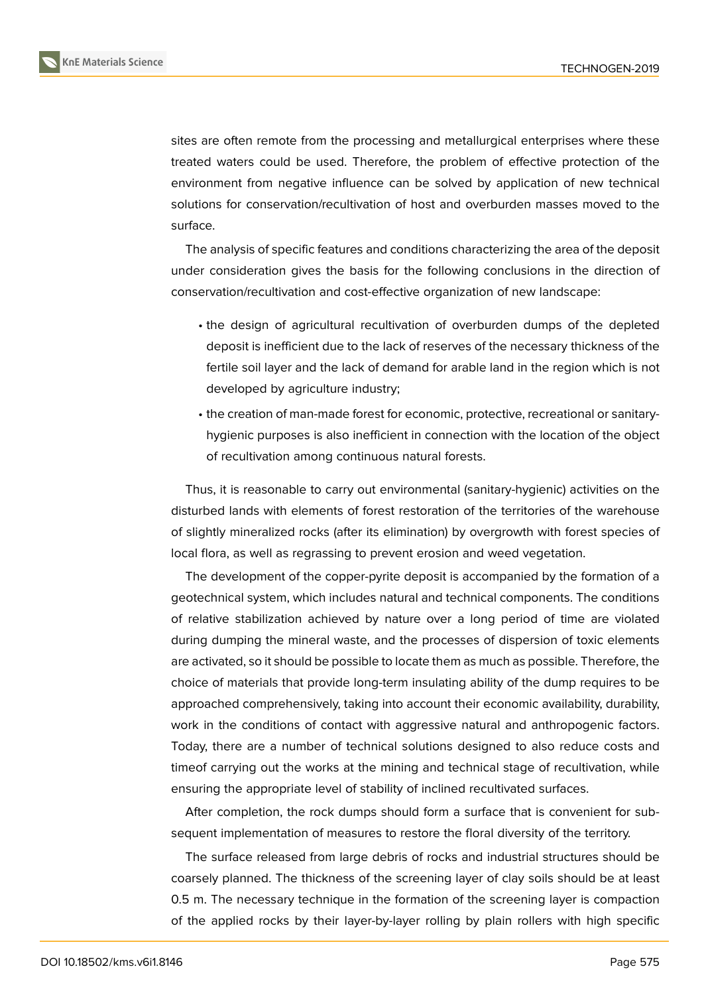

sites are often remote from the processing and metallurgical enterprises where these treated waters could be used. Therefore, the problem of effective protection of the environment from negative influence can be solved by application of new technical solutions for conservation/recultivation of host and overburden masses moved to the surface.

The analysis of specific features and conditions characterizing the area of the deposit under consideration gives the basis for the following conclusions in the direction of conservation/recultivation and cost-effective organization of new landscape:

- the design of agricultural recultivation of overburden dumps of the depleted deposit is inefficient due to the lack of reserves of the necessary thickness of the fertile soil layer and the lack of demand for arable land in the region which is not developed by agriculture industry;
- the creation of man-made forest for economic, protective, recreational or sanitaryhygienic purposes is also inefficient in connection with the location of the object of recultivation among continuous natural forests.

Thus, it is reasonable to carry out environmental (sanitary-hygienic) activities on the disturbed lands with elements of forest restoration of the territories of the warehouse of slightly mineralized rocks (after its elimination) by overgrowth with forest species of local flora, as well as regrassing to prevent erosion and weed vegetation.

The development of the copper-pyrite deposit is accompanied by the formation of a geotechnical system, which includes natural and technical components. The conditions of relative stabilization achieved by nature over a long period of time are violated during dumping the mineral waste, and the processes of dispersion of toxic elements are activated, so it should be possible to locate them as much as possible. Therefore, the choice of materials that provide long-term insulating ability of the dump requires to be approached comprehensively, taking into account their economic availability, durability, work in the conditions of contact with aggressive natural and anthropogenic factors. Today, there are a number of technical solutions designed to also reduce costs and timeof carrying out the works at the mining and technical stage of recultivation, while ensuring the appropriate level of stability of inclined recultivated surfaces.

After completion, the rock dumps should form a surface that is convenient for subsequent implementation of measures to restore the floral diversity of the territory.

The surface released from large debris of rocks and industrial structures should be coarsely planned. The thickness of the screening layer of clay soils should be at least 0.5 m. The necessary technique in the formation of the screening layer is compaction of the applied rocks by their layer-by-layer rolling by plain rollers with high specific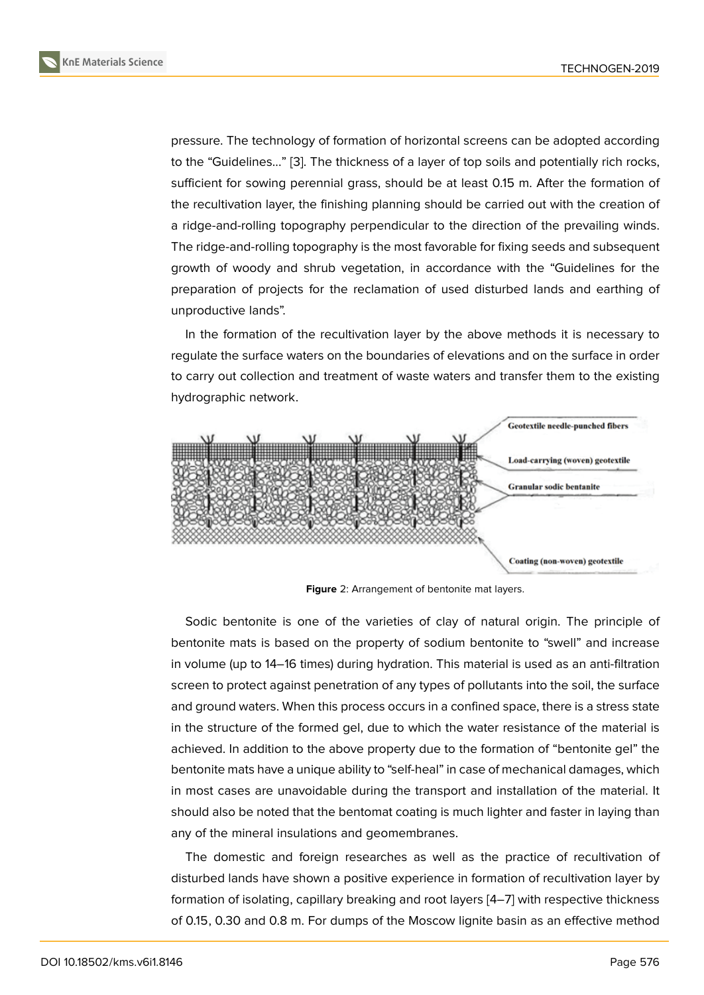pressure. The technology of formation of horizontal screens can be adopted according to the "Guidelines..." [3]. The thickness of a layer of top soils and potentially rich rocks, sufficient for sowing perennial grass, should be at least 0.15 m. After the formation of the recultivation layer, the finishing planning should be carried out with the creation of a ridge-and-rolling to[po](#page-6-1)graphy perpendicular to the direction of the prevailing winds. The ridge-and-rolling topography is the most favorable for fixing seeds and subsequent growth of woody and shrub vegetation, in accordance with the "Guidelines for the preparation of projects for the reclamation of used disturbed lands and earthing of unproductive lands".

In the formation of the recultivation layer by the above methods it is necessary to regulate the surface waters on the boundaries of elevations and on the surface in order to carry out collection and treatment of waste waters and transfer them to the existing hydrographic network.



**Figure** 2: Arrangement of bentonite mat layers.

Sodic bentonite is one of the varieties of clay of natural origin. The principle of bentonite mats is based on the property of sodium bentonite to "swell" and increase in volume (up to 14–16 times) during hydration. This material is used as an anti-filtration screen to protect against penetration of any types of pollutants into the soil, the surface and ground waters. When this process occurs in a confined space, there is a stress state in the structure of the formed gel, due to which the water resistance of the material is achieved. In addition to the above property due to the formation of "bentonite gel" the bentonite mats have a unique ability to "self-heal" in case of mechanical damages, which in most cases are unavoidable during the transport and installation of the material. It should also be noted that the bentomat coating is much lighter and faster in laying than any of the mineral insulations and geomembranes.

The domestic and foreign researches as well as the practice of recultivation of disturbed lands have shown a positive experience in formation of recultivation layer by formation of isolating, capillary breaking and root layers [4–7] with respective thickness of 0.15, 0.30 and 0.8 m. For dumps of the Moscow lignite basin as an effective method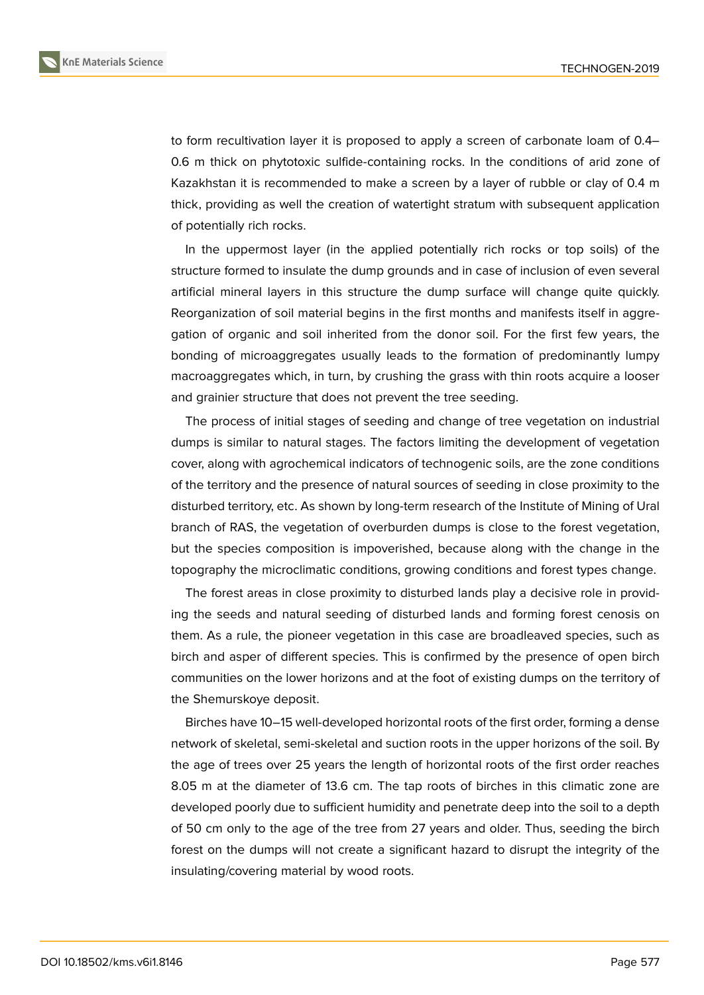

to form recultivation layer it is proposed to apply a screen of carbonate loam of 0.4– 0.6 m thick on phytotoxic sulfide-containing rocks. In the conditions of arid zone of Kazakhstan it is recommended to make a screen by a layer of rubble or clay of 0.4 m thick, providing as well the creation of watertight stratum with subsequent application of potentially rich rocks.

In the uppermost layer (in the applied potentially rich rocks or top soils) of the structure formed to insulate the dump grounds and in case of inclusion of even several artificial mineral layers in this structure the dump surface will change quite quickly. Reorganization of soil material begins in the first months and manifests itself in aggregation of organic and soil inherited from the donor soil. For the first few years, the bonding of microaggregates usually leads to the formation of predominantly lumpy macroaggregates which, in turn, by crushing the grass with thin roots acquire a looser and grainier structure that does not prevent the tree seeding.

The process of initial stages of seeding and change of tree vegetation on industrial dumps is similar to natural stages. The factors limiting the development of vegetation cover, along with agrochemical indicators of technogenic soils, are the zone conditions of the territory and the presence of natural sources of seeding in close proximity to the disturbed territory, etc. As shown by long-term research of the Institute of Mining of Ural branch of RAS, the vegetation of overburden dumps is close to the forest vegetation, but the species composition is impoverished, because along with the change in the topography the microclimatic conditions, growing conditions and forest types change.

The forest areas in close proximity to disturbed lands play a decisive role in providing the seeds and natural seeding of disturbed lands and forming forest cenosis on them. As a rule, the pioneer vegetation in this case are broadleaved species, such as birch and asper of different species. This is confirmed by the presence of open birch communities on the lower horizons and at the foot of existing dumps on the territory of the Shemurskoye deposit.

Birches have 10–15 well-developed horizontal roots of the first order, forming a dense network of skeletal, semi-skeletal and suction roots in the upper horizons of the soil. By the age of trees over 25 years the length of horizontal roots of the first order reaches 8.05 m at the diameter of 13.6 cm. The tap roots of birches in this climatic zone are developed poorly due to sufficient humidity and penetrate deep into the soil to a depth of 50 cm only to the age of the tree from 27 years and older. Thus, seeding the birch forest on the dumps will not create a significant hazard to disrupt the integrity of the insulating/covering material by wood roots.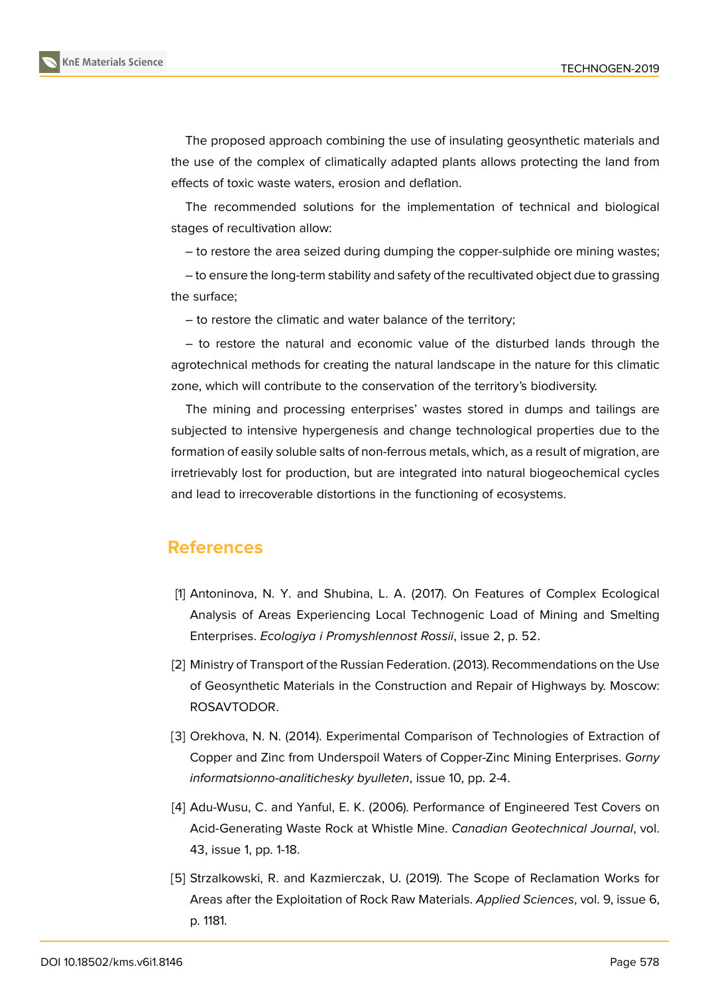

The proposed approach combining the use of insulating geosynthetic materials and the use of the complex of climatically adapted plants allows protecting the land from effects of toxic waste waters, erosion and deflation.

The recommended solutions for the implementation of technical and biological stages of recultivation allow:

– to restore the area seized during dumping the copper-sulphide ore mining wastes;

– to ensure the long-term stability and safety of the recultivated object due to grassing the surface;

– to restore the climatic and water balance of the territory;

– to restore the natural and economic value of the disturbed lands through the agrotechnical methods for creating the natural landscape in the nature for this climatic zone, which will contribute to the conservation of the territory's biodiversity.

The mining and processing enterprises' wastes stored in dumps and tailings are subjected to intensive hypergenesis and change technological properties due to the formation of easily soluble salts of non-ferrous metals, which, as a result of migration, are irretrievably lost for production, but are integrated into natural biogeochemical cycles and lead to irrecoverable distortions in the functioning of ecosystems.

## **References**

- <span id="page-6-0"></span>[1] Antoninova, N. Y. and Shubina, L. A. (2017). On Features of Complex Ecological Analysis of Areas Experiencing Local Technogenic Load of Mining and Smelting Enterprises. *Ecologiya i Promyshlennost Rossii*, issue 2, p. 52.
- [2] Ministry of Transport of the Russian Federation. (2013). Recommendations on the Use of Geosynthetic Materials in the Construction and Repair of Highways by. Moscow: ROSAVTODOR.
- <span id="page-6-1"></span>[3] Orekhova, N. N. (2014). Experimental Comparison of Technologies of Extraction of Copper and Zinc from Underspoil Waters of Copper-Zinc Mining Enterprises. *Gorny informatsionno-analitichesky byulleten*, issue 10, pp. 2-4.
- [4] Adu-Wusu, C. and Yanful, E. K. (2006). Performance of Engineered Test Covers on Acid-Generating Waste Rock at Whistle Mine. *Canadian Geotechnical Journal*, vol. 43, issue 1, pp. 1-18.
- [5] Strzalkowski, R. and Kazmierczak, U. (2019). The Scope of Reclamation Works for Areas after the Exploitation of Rock Raw Materials. *Applied Sciences*, vol. 9, issue 6, p. 1181.